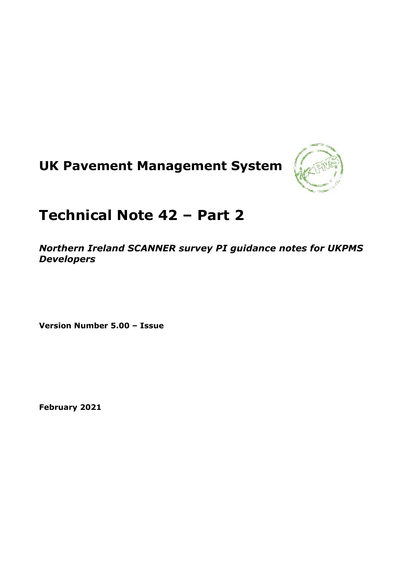



# **Technical Note 42 – Part 2**

*Northern Ireland SCANNER survey PI guidance notes for UKPMS Developers*

**Version Number 5.00 – Issue**

**February 2021**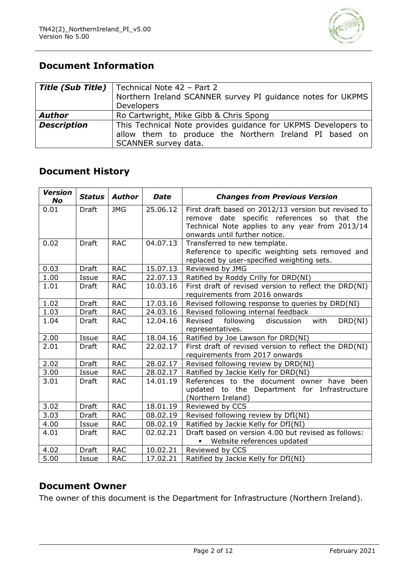

# **Document Information**

|                    | <b>Title (Sub Title)</b>   Technical Note 42 - Part 2<br>Northern Ireland SCANNER survey PI guidance notes for UKPMS<br><b>Developers</b>       |  |  |  |  |  |  |
|--------------------|-------------------------------------------------------------------------------------------------------------------------------------------------|--|--|--|--|--|--|
| <b>Author</b>      | Ro Cartwright, Mike Gibb & Chris Spong                                                                                                          |  |  |  |  |  |  |
| <b>Description</b> | This Technical Note provides guidance for UKPMS Developers to<br>allow them to produce the Northern Ireland PI based on<br>SCANNER survey data. |  |  |  |  |  |  |

## **Document History**

| <b>Version</b><br>No | <b>Status</b> | <b>Author</b> | <b>Date</b> | <b>Changes from Previous Version</b>                                                               |
|----------------------|---------------|---------------|-------------|----------------------------------------------------------------------------------------------------|
| 0.01                 | Draft         | <b>JMG</b>    | 25.06.12    | First draft based on 2012/13 version but revised to<br>remove date specific references so that the |
|                      |               |               |             | Technical Note applies to any year from 2013/14<br>onwards until further notice.                   |
| 0.02                 | Draft         | <b>RAC</b>    | 04.07.13    | Transferred to new template.                                                                       |
|                      |               |               |             | Reference to specific weighting sets removed and<br>replaced by user-specified weighting sets.     |
| 0.03                 | Draft         | <b>RAC</b>    | 15.07.13    | Reviewed by JMG                                                                                    |
| 1.00                 | Issue         | <b>RAC</b>    | 22.07.13    | Ratified by Roddy Crilly for DRD(NI)                                                               |
| 1.01                 | Draft         | <b>RAC</b>    | 10.03.16    | First draft of revised version to reflect the DRD(NI)<br>requirements from 2016 onwards            |
| 1.02                 | <b>Draft</b>  | <b>RAC</b>    | 17.03.16    | Revised following response to queries by DRD(NI)                                                   |
| 1.03                 | Draft         | <b>RAC</b>    | 24.03.16    | Revised following internal feedback                                                                |
| 1.04                 | Draft         | <b>RAC</b>    | 12.04.16    | Revised<br>following<br>DRD(NI)<br>discussion<br>with<br>representatives.                          |
| 2.00                 | Issue         | <b>RAC</b>    | 18.04.16    | Ratified by Joe Lawson for DRD(NI)                                                                 |
| 2.01                 | Draft         | <b>RAC</b>    | 22.02.17    | First draft of revised version to reflect the DRD(NI)<br>requirements from 2017 onwards            |
| 2.02                 | <b>Draft</b>  | <b>RAC</b>    | 28.02.17    | Revised following review by DRD(NI)                                                                |
| 3.00                 | Issue         | <b>RAC</b>    | 28.02.17    | Ratified by Jackie Kelly for DRD(NI)                                                               |
| 3.01                 | Draft         | <b>RAC</b>    | 14.01.19    | References to the document owner have been                                                         |
|                      |               |               |             | updated to the Department for Infrastructure<br>(Northern Ireland)                                 |
| 3.02                 | Draft         | <b>RAC</b>    | 18.01.19    | Reviewed by CCS                                                                                    |
| $\overline{3.03}$    | Draft         | <b>RAC</b>    | 08.02.19    | Revised following review by DfI(NI)                                                                |
| 4.00                 | Issue         | <b>RAC</b>    | 08.02.19    | Ratified by Jackie Kelly for DfI(NI)                                                               |
| 4.01                 | Draft         | <b>RAC</b>    | 02.02.21    | Draft based on version 4.00 but revised as follows:<br>Website references updated                  |
| 4.02                 | <b>Draft</b>  | <b>RAC</b>    | 10.02.21    | Reviewed by CCS                                                                                    |
| 5.00                 | Issue         | <b>RAC</b>    | 17.02.21    | Ratified by Jackie Kelly for DfI(NI)                                                               |

### **Document Owner**

The owner of this document is the Department for Infrastructure (Northern Ireland).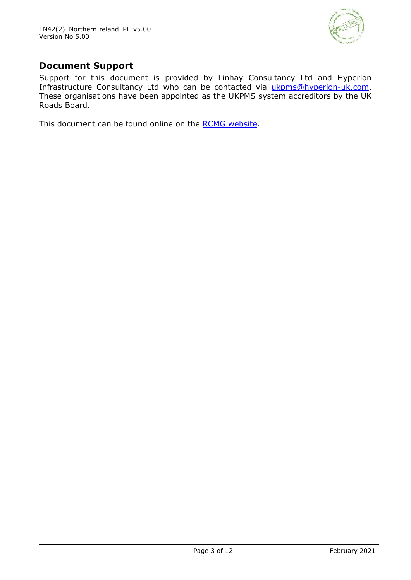

### **Document Support**

Support for this document is provided by Linhay Consultancy Ltd and Hyperion Infrastructure Consultancy Ltd who can be contacted via [ukpms@hyperion-uk.com.](mailto:ukpms@hyperion-uk.com) These organisations have been appointed as the UKPMS system accreditors by the UK Roads Board.

This document can be found online on the [RCMG website.](https://www.ciht.org.uk/ukrlg-home/guidance/road-condition-information/data-management/uk-pavement-management-system-ukpms/)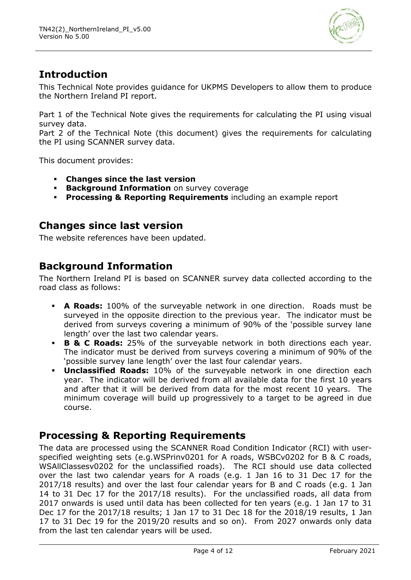

# **Introduction**

This Technical Note provides guidance for UKPMS Developers to allow them to produce the Northern Ireland PI report.

Part 1 of the Technical Note gives the requirements for calculating the PI using visual survey data.

Part 2 of the Technical Note (this document) gives the requirements for calculating the PI using SCANNER survey data.

This document provides:

- **Changes since the last version**
- **Background Information** on survey coverage
- **Processing & Reporting Requirements** including an example report

### **Changes since last version**

The website references have been updated.

### **Background Information**

The Northern Ireland PI is based on SCANNER survey data collected according to the road class as follows:

- **A Roads:** 100% of the surveyable network in one direction. Roads must be surveyed in the opposite direction to the previous year. The indicator must be derived from surveys covering a minimum of 90% of the 'possible survey lane length' over the last two calendar years.
- **B & C Roads:** 25% of the surveyable network in both directions each year. The indicator must be derived from surveys covering a minimum of 90% of the 'possible survey lane length' over the last four calendar years.
- **Unclassified Roads:** 10% of the surveyable network in one direction each year. The indicator will be derived from all available data for the first 10 years and after that it will be derived from data for the most recent 10 years. The minimum coverage will build up progressively to a target to be agreed in due course.

# **Processing & Reporting Requirements**

The data are processed using the SCANNER Road Condition Indicator (RCI) with userspecified weighting sets (e.g.WSPrinv0201 for A roads, WSBCv0202 for B & C roads, WSAllClassesv0202 for the unclassified roads). The RCI should use data collected over the last two calendar years for A roads (e.g. 1 Jan 16 to 31 Dec 17 for the 2017/18 results) and over the last four calendar years for B and C roads (e.g. 1 Jan 14 to 31 Dec 17 for the 2017/18 results). For the unclassified roads, all data from 2017 onwards is used until data has been collected for ten years (e.g. 1 Jan 17 to 31 Dec 17 for the 2017/18 results; 1 Jan 17 to 31 Dec 18 for the 2018/19 results, 1 Jan 17 to 31 Dec 19 for the 2019/20 results and so on). From 2027 onwards only data from the last ten calendar years will be used.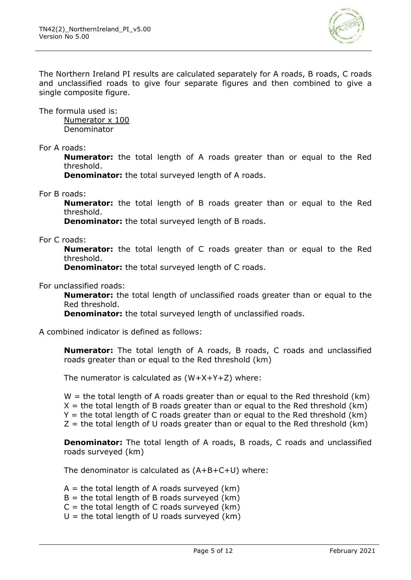

The Northern Ireland PI results are calculated separately for A roads, B roads, C roads and unclassified roads to give four separate figures and then combined to give a single composite figure.

The formula used is: Numerator x 100 Denominator

For A roads:

**Numerator:** the total length of A roads greater than or equal to the Red threshold.

**Denominator:** the total surveyed length of A roads.

For B roads:

**Numerator:** the total length of B roads greater than or equal to the Red threshold.

**Denominator:** the total surveyed length of B roads.

For C roads:

**Numerator:** the total length of C roads greater than or equal to the Red threshold.

**Denominator:** the total surveyed length of C roads.

For unclassified roads:

**Numerator:** the total length of unclassified roads greater than or equal to the Red threshold.

**Denominator:** the total surveyed length of unclassified roads.

A combined indicator is defined as follows:

**Numerator:** The total length of A roads, B roads, C roads and unclassified roads greater than or equal to the Red threshold (km)

The numerator is calculated as  $(W+X+Y+Z)$  where:

 $W =$  the total length of A roads greater than or equal to the Red threshold (km)  $X =$  the total length of B roads greater than or equal to the Red threshold (km)  $Y =$  the total length of C roads greater than or equal to the Red threshold (km)  $Z =$  the total length of U roads greater than or equal to the Red threshold (km)

**Denominator:** The total length of A roads, B roads, C roads and unclassified roads surveyed (km)

The denominator is calculated as (A+B+C+U) where:

 $A =$  the total length of A roads surveyed (km)

- $B =$  the total length of B roads surveyed (km)
- $C =$  the total length of C roads surveyed (km)
- $U =$  the total length of U roads surveyed (km)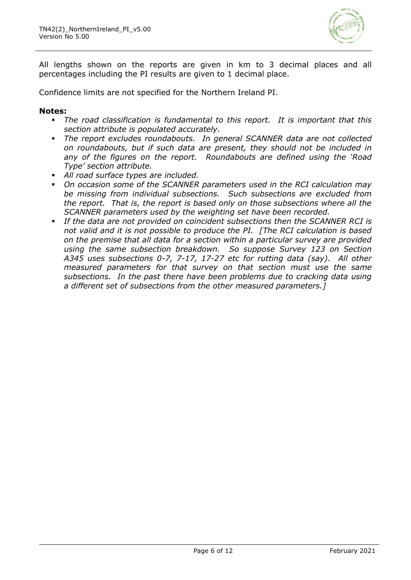

All lengths shown on the reports are given in km to 3 decimal places and all percentages including the PI results are given to 1 decimal place.

Confidence limits are not specified for the Northern Ireland PI.

#### **Notes:**

- *The road classification is fundamental to this report. It is important that this section attribute is populated accurately.*
- *The report excludes roundabouts. In general SCANNER data are not collected on roundabouts, but if such data are present, they should not be included in any of the figures on the report. Roundabouts are defined using the 'Road Type' section attribute.*
- *All road surface types are included.*
- *On occasion some of the SCANNER parameters used in the RCI calculation may be missing from individual subsections. Such subsections are excluded from the report. That is, the report is based only on those subsections where all the SCANNER parameters used by the weighting set have been recorded.*
- *If the data are not provided on coincident subsections then the SCANNER RCI is not valid and it is not possible to produce the PI. [The RCI calculation is based on the premise that all data for a section within a particular survey are provided using the same subsection breakdown. So suppose Survey 123 on Section A345 uses subsections 0-7, 7-17, 17-27 etc for rutting data (say). All other measured parameters for that survey on that section must use the same subsections. In the past there have been problems due to cracking data using a different set of subsections from the other measured parameters.]*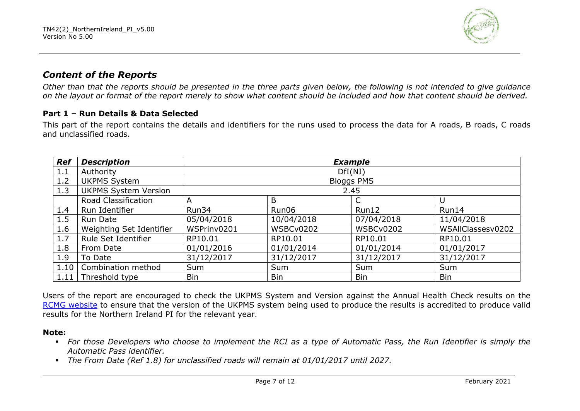

### *Content of the Reports*

*Other than that the reports should be presented in the three parts given below, the following is not intended to give guidance on the layout or format of the report merely to show what content should be included and how that content should be derived.* 

### **Part 1 – Run Details & Data Selected**

This part of the report contains the details and identifiers for the runs used to process the data for A roads, B roads, C roads and unclassified roads.

| <b>Ref</b> | <b>Description</b>          |             | <b>Example</b> |                   |                   |  |  |  |
|------------|-----------------------------|-------------|----------------|-------------------|-------------------|--|--|--|
| 1.1        | Authority                   |             |                | DfI(NI)           |                   |  |  |  |
| 1.2        | <b>UKPMS System</b>         |             |                | <b>Bloggs PMS</b> |                   |  |  |  |
| 1.3        | <b>UKPMS System Version</b> |             |                | 2.45              |                   |  |  |  |
|            | Road Classification         | А           | B              |                   | U                 |  |  |  |
| 1.4        | Run Identifier              | Run34       | Run06          | Run12             | Run14             |  |  |  |
| 1.5        | Run Date                    | 05/04/2018  | 10/04/2018     | 07/04/2018        | 11/04/2018        |  |  |  |
| 1.6        | Weighting Set Identifier    | WSPrinv0201 | WSBCv0202      | WSBCv0202         | WSAIIClassesv0202 |  |  |  |
| 1.7        | Rule Set Identifier         | RP10.01     | RP10.01        | RP10.01           | RP10.01           |  |  |  |
| 1.8        | From Date                   | 01/01/2016  | 01/01/2014     | 01/01/2014        | 01/01/2017        |  |  |  |
| 1.9        | To Date                     | 31/12/2017  | 31/12/2017     | 31/12/2017        | 31/12/2017        |  |  |  |
| 1.10       | Combination method          | Sum         | Sum            | Sum               | Sum               |  |  |  |
| 1.11       | Threshold type              | <b>Bin</b>  | <b>Bin</b>     | <b>Bin</b>        | <b>Bin</b>        |  |  |  |

Users of the report are encouraged to check the UKPMS System and Version against the Annual Health Check results on the RCMG [website](https://www.ciht.org.uk/ukrlg-home/guidance/road-condition-information/data-management/uk-pavement-management-system-ukpms/) to ensure that the version of the UKPMS system being used to produce the results is accredited to produce valid results for the Northern Ireland PI for the relevant year.

#### **Note:**

- *For those Developers who choose to implement the RCI as a type of Automatic Pass, the Run Identifier is simply the Automatic Pass identifier.*
- *The From Date (Ref 1.8) for unclassified roads will remain at 01/01/2017 until 2027.*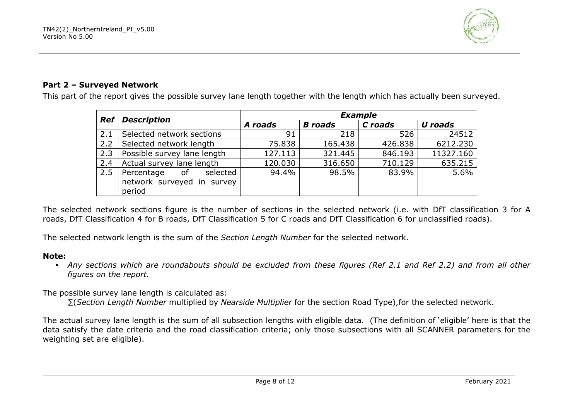

### **Part 2 – Surveyed Network**

This part of the report gives the possible survey lane length together with the length which has actually been surveyed.

| <b>Ref</b> | <b>Description</b>           | <b>Example</b> |                           |         |           |  |  |
|------------|------------------------------|----------------|---------------------------|---------|-----------|--|--|
|            |                              | A roads        | <b>B</b> roads<br>C roads |         | U roads   |  |  |
| 2.1        | Selected network sections    | 91             | 218                       | 526     | 24512     |  |  |
| 2.2        | Selected network length      | 75.838         | 165.438                   | 426.838 | 6212.230  |  |  |
| 2.3        | Possible survey lane length  | 127.113        | 321.445                   | 846.193 | 11327.160 |  |  |
| 2.4        | Actual survey lane length    | 120.030        | 316.650                   | 710.129 | 635.215   |  |  |
| 2.5        | Percentage<br>selected<br>0f | 94.4%          | 98.5%                     | 83.9%   | 5.6%      |  |  |
|            | network surveyed in survey   |                |                           |         |           |  |  |
|            | period                       |                |                           |         |           |  |  |

The selected network sections figure is the number of sections in the selected network (i.e. with DfT classification 3 for A roads, DfT Classification 4 for B roads, DfT Classification 5 for C roads and DfT Classification 6 for unclassified roads).

The selected network length is the sum of the *Section Length Number* for the selected network.

#### **Note:**

▪ *Any sections which are roundabouts should be excluded from these figures (Ref 2.1 and Ref 2.2) and from all other figures on the report.*

The possible survey lane length is calculated as:

∑(*Section Length Number* multiplied by *Nearside Multiplier* for the section Road Type),for the selected network.

The actual survey lane length is the sum of all subsection lengths with eligible data. (The definition of 'eligible' here is that the data satisfy the date criteria and the road classification criteria; only those subsections with all SCANNER parameters for the weighting set are eligible).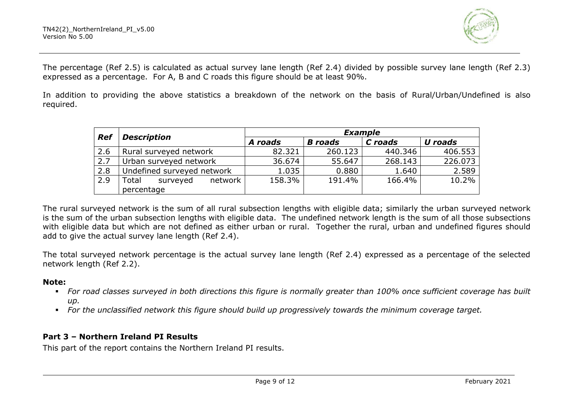

The percentage (Ref 2.5) is calculated as actual survey lane length (Ref 2.4) divided by possible survey lane length (Ref 2.3) expressed as a percentage. For A, B and C roads this figure should be at least 90%.

In addition to providing the above statistics a breakdown of the network on the basis of Rural/Urban/Undefined is also required.

| <b>Ref</b> | <b>Description</b>           | <b>Example</b> |                |         |         |  |  |
|------------|------------------------------|----------------|----------------|---------|---------|--|--|
|            |                              | A roads        | <b>B</b> roads | C roads | U roads |  |  |
| 2.6        | Rural surveyed network       | 82.321         | 260.123        | 440.346 | 406.553 |  |  |
| 2.7        | Urban surveyed network       | 36.674         | 55.647         | 268.143 | 226.073 |  |  |
| 2.8        | Undefined surveyed network   | 1.035          | 0.880          | 1.640   | 2.589   |  |  |
| 2.9        | Total<br>network<br>surveyed | 158.3%         | 191.4%         | 166.4%  | 10.2%   |  |  |
|            | percentage                   |                |                |         |         |  |  |

The rural surveyed network is the sum of all rural subsection lengths with eligible data; similarly the urban surveyed network is the sum of the urban subsection lengths with eligible data. The undefined network length is the sum of all those subsections with eligible data but which are not defined as either urban or rural. Together the rural, urban and undefined figures should add to give the actual survey lane length (Ref 2.4).

The total surveyed network percentage is the actual survey lane length (Ref 2.4) expressed as a percentage of the selected network length (Ref 2.2).

#### **Note:**

- *For road classes surveyed in both directions this figure is normally greater than 100% once sufficient coverage has built up.*
- *For the unclassified network this figure should build up progressively towards the minimum coverage target.*

### **Part 3 – Northern Ireland PI Results**

This part of the report contains the Northern Ireland PI results.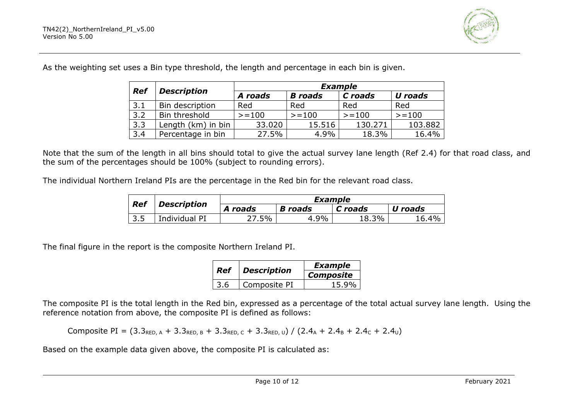

As the weighting set uses a Bin type threshold, the length and percentage in each bin is given.

| <b>Ref</b> | <b>Description</b> | <b>Example</b> |                |         |                |  |  |  |
|------------|--------------------|----------------|----------------|---------|----------------|--|--|--|
|            |                    | A roads        | <b>B</b> roads | C roads | <b>U</b> roads |  |  |  |
| 3.1        | Bin description    | Red            | Red            | Red     | Red            |  |  |  |
| 3.2        | Bin threshold      | $>=100$        | $>=100$        | $>=100$ | $>=100$        |  |  |  |
| 3.3        | Length (km) in bin | 33.020         | 15.516         | 130.271 | 103.882        |  |  |  |
| 3.4        | Percentage in bin  | 27.5%          | 4.9%           | 18.3%   | 16.4%          |  |  |  |

Note that the sum of the length in all bins should total to give the actual survey lane length (Ref 2.4) for that road class, and the sum of the percentages should be 100% (subject to rounding errors).

The individual Northern Ireland PIs are the percentage in the Red bin for the relevant road class.

| <b>Ref</b> |                    | Example |                |         |         |  |  |
|------------|--------------------|---------|----------------|---------|---------|--|--|
|            | <b>Description</b> | A roads | <b>B</b> roads | C roads | U roads |  |  |
| 3.5        | Individual PI      | '.5%    | 4.9%           | 18.3%   | 16.4%   |  |  |

The final figure in the report is the composite Northern Ireland PI.

| <b>Ref</b> | <b>Description</b> | <b>Example</b>   |  |  |
|------------|--------------------|------------------|--|--|
|            |                    | <b>Composite</b> |  |  |
|            | Composite PI       | 15.9%            |  |  |

The composite PI is the total length in the Red bin, expressed as a percentage of the total actual survey lane length. Using the reference notation from above, the composite PI is defined as follows:

Composite PI =  $(3.3_{\text{RED,A}} + 3.3_{\text{RED,B}} + 3.3_{\text{RED,C}} + 3.3_{\text{RED,U}}) / (2.4_A + 2.4_B + 2.4_C + 2.4_U)$ 

Based on the example data given above, the composite PI is calculated as: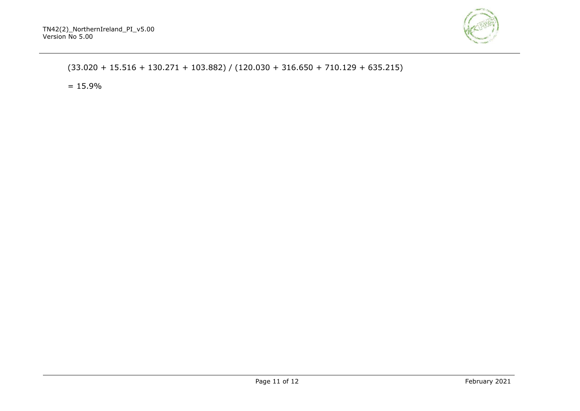

### $(33.020 + 15.516 + 130.271 + 103.882) / (120.030 + 316.650 + 710.129 + 635.215)$

 $= 15.9\%$